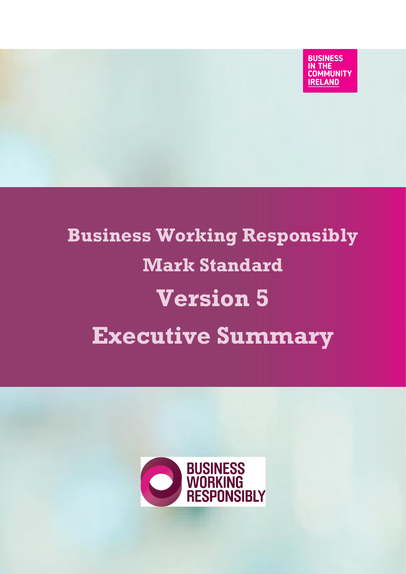**BUSINESS** IN THE **COMMUNITY IRELAND** 

# **Business Working Responsibly Mark Standard Version 5 Executive Summary**

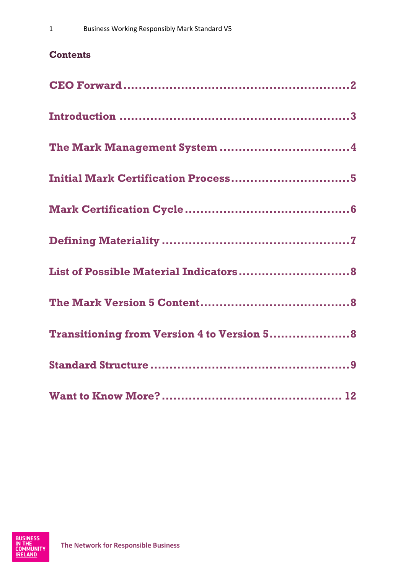### **Contents**

| <b>Initial Mark Certification Process5</b>         |
|----------------------------------------------------|
|                                                    |
|                                                    |
|                                                    |
|                                                    |
| <b>Transitioning from Version 4 to Version 5 8</b> |
|                                                    |
|                                                    |

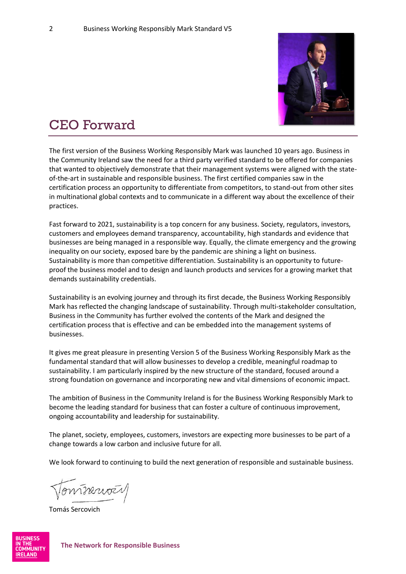

# <span id="page-2-0"></span>CEO Forward

The first version of the Business Working Responsibly Mark was launched 10 years ago. Business in the Community Ireland saw the need for a third party verified standard to be offered for companies that wanted to objectively demonstrate that their management systems were aligned with the stateof-the-art in sustainable and responsible business. The first certified companies saw in the certification process an opportunity to differentiate from competitors, to stand-out from other sites in multinational global contexts and to communicate in a different way about the excellence of their practices.

Fast forward to 2021, sustainability is a top concern for any business. Society, regulators, investors, customers and employees demand transparency, accountability, high standards and evidence that businesses are being managed in a responsible way. Equally, the climate emergency and the growing inequality on our society, exposed bare by the pandemic are shining a light on business. Sustainability is more than competitive differentiation. Sustainability is an opportunity to futureproof the business model and to design and launch products and services for a growing market that demands sustainability credentials.

Sustainability is an evolving journey and through its first decade, the Business Working Responsibly Mark has reflected the changing landscape of sustainability. Through multi-stakeholder consultation, Business in the Community has further evolved the contents of the Mark and designed the certification process that is effective and can be embedded into the management systems of businesses.

It gives me great pleasure in presenting Version 5 of the Business Working Responsibly Mark as the fundamental standard that will allow businesses to develop a credible, meaningful roadmap to sustainability. I am particularly inspired by the new structure of the standard, focused around a strong foundation on governance and incorporating new and vital dimensions of economic impact.

The ambition of Business in the Community Ireland is for the Business Working Responsibly Mark to become the leading standard for business that can foster a culture of continuous improvement, ongoing accountability and leadership for sustainability.

The planet, society, employees, customers, investors are expecting more businesses to be part of a change towards a low carbon and inclusive future for all.

We look forward to continuing to build the next generation of responsible and sustainable business.

Tonineword

Tomás Sercovich

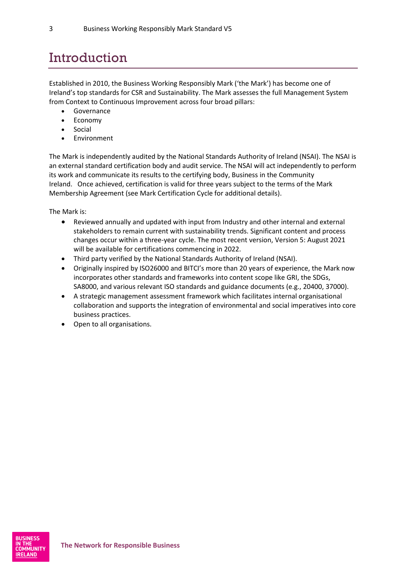# <span id="page-3-0"></span>Introduction

Established in 2010, the Business Working Responsibly Mark ('the Mark') has become one of Ireland's top standards for CSR and Sustainability. The Mark assesses the full Management System from Context to Continuous Improvement across four broad pillars:

- Governance
- Economy
- **Social**
- Environment

The Mark is independently audited by the National Standards Authority of Ireland (NSAI). The NSAI is an external standard certification body and audit service. The NSAI will act independently to perform its work and communicate its results to the certifying body, Business in the Community Ireland. Once achieved, certification is valid for three years subject to the terms of the Mark Membership Agreement (see Mark Certification Cycle for additional details).

The Mark is:

- Reviewed annually and updated with input from Industry and other internal and external stakeholders to remain current with sustainability trends. Significant content and process changes occur within a three-year cycle. The most recent version, Version 5: August 2021 will be available for certifications commencing in 2022.
- Third party verified by the National Standards Authority of Ireland (NSAI).
- Originally inspired by ISO26000 and BITCI's more than 20 years of experience, the Mark now incorporates other standards and frameworks into content scope like GRI, the SDGs, SA8000, and various relevant ISO standards and guidance documents (e.g., 20400, 37000).
- A strategic management assessment framework which facilitates internal organisational collaboration and supports the integration of environmental and social imperatives into core business practices.
- Open to all organisations.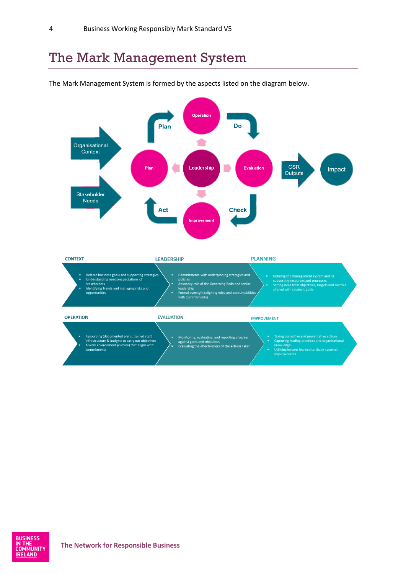### <span id="page-4-0"></span>The Mark Management System





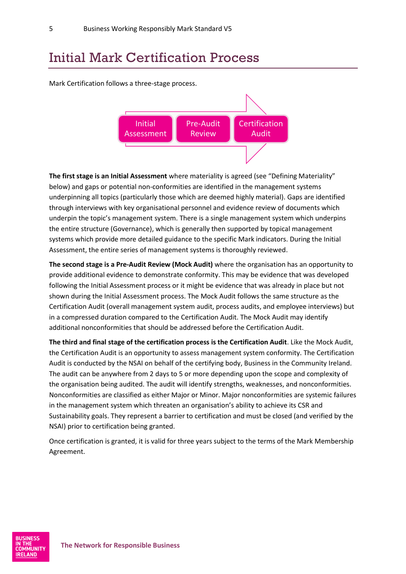### <span id="page-5-0"></span>Initial Mark Certification Process

Mark Certification follows a three-stage process.



**The first stage is an Initial Assessment** where materiality is agreed (see "Defining Materiality" below) and gaps or potential non-conformities are identified in the management systems underpinning all topics (particularly those which are deemed highly material). Gaps are identified through interviews with key organisational personnel and evidence review of documents which underpin the topic's management system. There is a single management system which underpins the entire structure (Governance), which is generally then supported by topical management systems which provide more detailed guidance to the specific Mark indicators. During the Initial Assessment, the entire series of management systems is thoroughly reviewed.

**The second stage is a Pre-Audit Review (Mock Audit)** where the organisation has an opportunity to provide additional evidence to demonstrate conformity. This may be evidence that was developed following the Initial Assessment process or it might be evidence that was already in place but not shown during the Initial Assessment process. The Mock Audit follows the same structure as the Certification Audit (overall management system audit, process audits, and employee interviews) but in a compressed duration compared to the Certification Audit. The Mock Audit may identify additional nonconformities that should be addressed before the Certification Audit.

**The third and final stage of the certification process is the Certification Audit**. Like the Mock Audit, the Certification Audit is an opportunity to assess management system conformity. The Certification Audit is conducted by the NSAI on behalf of the certifying body, Business in the Community Ireland. The audit can be anywhere from 2 days to 5 or more depending upon the scope and complexity of the organisation being audited. The audit will identify strengths, weaknesses, and nonconformities. Nonconformities are classified as either Major or Minor. Major nonconformities are systemic failures in the management system which threaten an organisation's ability to achieve its CSR and Sustainability goals. They represent a barrier to certification and must be closed (and verified by the NSAI) prior to certification being granted.

Once certification is granted, it is valid for three years subject to the terms of the Mark Membership Agreement.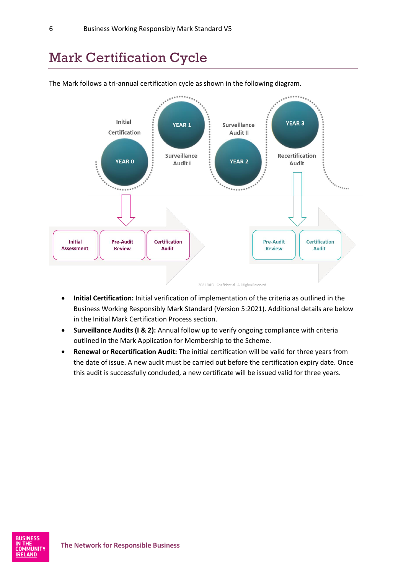### <span id="page-6-0"></span>Mark Certification Cycle



The Mark follows a tri-annual certification cycle as shown in the following diagram.

- **Initial Certification:** Initial verification of implementation of the criteria as outlined in the Business Working Responsibly Mark Standard (Version 5:2021). Additional details are below in the Initial Mark Certification Process section.
- **Surveillance Audits (I & 2):** Annual follow up to verify ongoing compliance with criteria outlined in the Mark Application for Membership to the Scheme.
- **Renewal or Recertification Audit:** The initial certification will be valid for three years from the date of issue. A new audit must be carried out before the certification expiry date. Once this audit is successfully concluded, a new certificate will be issued valid for three years.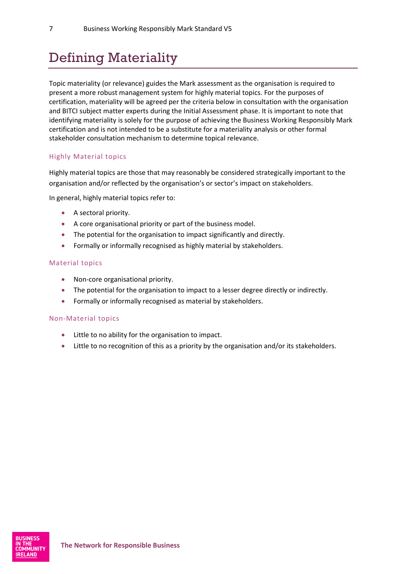# <span id="page-7-0"></span>Defining Materiality

Topic materiality (or relevance) guides the Mark assessment as the organisation is required to present a more robust management system for highly material topics. For the purposes of certification, materiality will be agreed per the criteria below in consultation with the organisation and BITCI subject matter experts during the Initial Assessment phase. It is important to note that identifying materiality is solely for the purpose of achieving the Business Working Responsibly Mark certification and is not intended to be a substitute for a materiality analysis or other formal stakeholder consultation mechanism to determine topical relevance.

#### Highly Material topics

Highly material topics are those that may reasonably be considered strategically important to the organisation and/or reflected by the organisation's or sector's impact on stakeholders.

In general, highly material topics refer to:

- A sectoral priority.
- A core organisational priority or part of the business model.
- The potential for the organisation to impact significantly and directly.
- Formally or informally recognised as highly material by stakeholders.

#### Material topics

- Non-core organisational priority.
- The potential for the organisation to impact to a lesser degree directly or indirectly.
- Formally or informally recognised as material by stakeholders.

#### Non-Material topics

- Little to no ability for the organisation to impact.
- Little to no recognition of this as a priority by the organisation and/or its stakeholders.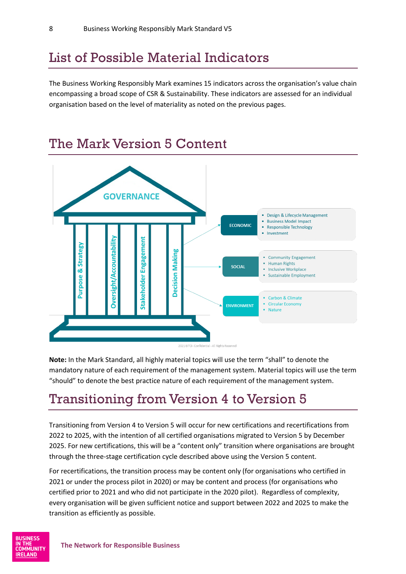### <span id="page-8-0"></span>List of Possible Material Indicators

The Business Working Responsibly Mark examines 15 indicators across the organisation's value chain encompassing a broad scope of CSR & Sustainability. These indicators are assessed for an individual organisation based on the level of materiality as noted on the previous pages.

<span id="page-8-1"></span>

**Note:** In the Mark Standard, all highly material topics will use the term "shall" to denote the mandatory nature of each requirement of the management system. Material topics will use the term "should" to denote the best practice nature of each requirement of the management system.

### <span id="page-8-2"></span>Transitioning from Version 4 to Version 5

Transitioning from Version 4 to Version 5 will occur for new certifications and recertifications from 2022 to 2025, with the intention of all certified organisations migrated to Version 5 by December 2025. For new certifications, this will be a "content only" transition where organisations are brought through the three-stage certification cycle described above using the Version 5 content.

For recertifications, the transition process may be content only (for organisations who certified in 2021 or under the process pilot in 2020) or may be content and process (for organisations who certified prior to 2021 and who did not participate in the 2020 pilot). Regardless of complexity, every organisation will be given sufficient notice and support between 2022 and 2025 to make the transition as efficiently as possible.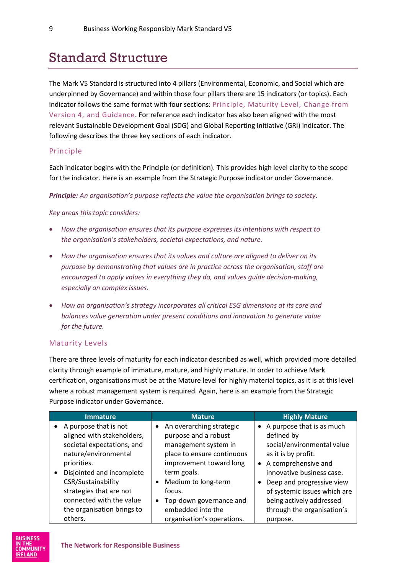### <span id="page-9-0"></span>Standard Structure

The Mark V5 Standard is structured into 4 pillars (Environmental, Economic, and Social which are underpinned by Governance) and within those four pillars there are 15 indicators (or topics). Each indicator follows the same format with four sections: Principle, Maturity Level, Change from Version 4, and Guidance. For reference each indicator has also been aligned with the most relevant Sustainable Development Goal (SDG) and Global Reporting Initiative (GRI) indicator. The following describes the three key sections of each indicator.

#### Principle

Each indicator begins with the Principle (or definition). This provides high level clarity to the scope for the indicator. Here is an example from the Strategic Purpose indicator under Governance.

*Principle: An organisation's purpose reflects the value the organisation brings to society.* 

*Key areas this topic considers:* 

- *How the organisation ensures that its purpose expresses its intentions with respect to the organisation's stakeholders, societal expectations, and nature.*
- *How the organisation ensures that its values and culture are aligned to deliver on its purpose by demonstrating that values are in practice across the organisation, staff are encouraged to apply values in everything they do, and values guide decision-making, especially on complex issues.*
- *How an organisation's strategy incorporates all critical ESG dimensions at its core and balances value generation under present conditions and innovation to generate value for the future.*

#### Maturity Levels

There are three levels of maturity for each indicator described as well, which provided more detailed clarity through example of immature, mature, and highly mature. In order to achieve Mark certification, organisations must be at the Mature level for highly material topics, as it is at this level where a robust management system is required. Again, here is an example from the Strategic Purpose indicator under Governance.

|           | <b>Immature</b>            |           | <b>Mature</b>              | <b>Highly Mature</b>         |
|-----------|----------------------------|-----------|----------------------------|------------------------------|
| $\bullet$ | A purpose that is not      |           | • An overarching strategic | • A purpose that is as much  |
|           | aligned with stakeholders, |           | purpose and a robust       | defined by                   |
|           | societal expectations, and |           | management system in       | social/environmental value   |
|           | nature/environmental       |           | place to ensure continuous | as it is by profit.          |
|           | priorities.                |           | improvement toward long    | • A comprehensive and        |
| ٠         | Disjointed and incomplete  |           | term goals.                | innovative business case.    |
|           | CSR/Sustainability         |           | Medium to long-term        | Deep and progressive view    |
|           | strategies that are not    |           | focus.                     | of systemic issues which are |
|           | connected with the value   | $\bullet$ | Top-down governance and    | being actively addressed     |
|           | the organisation brings to |           | embedded into the          | through the organisation's   |
|           | others.                    |           | organisation's operations. | purpose.                     |

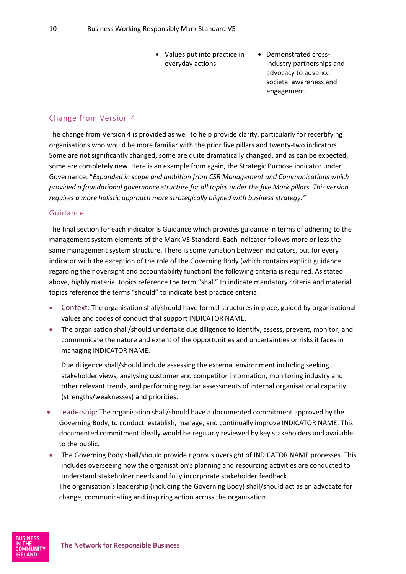| Values put into practice in<br>everyday actions | Demonstrated cross-<br>$\bullet$<br>industry partnerships and<br>advocacy to advance<br>societal awareness and |
|-------------------------------------------------|----------------------------------------------------------------------------------------------------------------|
|                                                 | engagement.                                                                                                    |

#### Change from Version 4

The change from Version 4 is provided as well to help provide clarity, particularly for recertifying organisations who would be more familiar with the prior five pillars and twenty-two indicators. Some are not significantly changed, some are quite dramatically changed, and as can be expected, some are completely new. Here is an example from again, the Strategic Purpose indicator under Governance: "*Expanded in scope and ambition from CSR Management and Communications which provided a foundational governance structure for all topics under the five Mark pillars. This version requires a more holistic approach more strategically aligned with business strategy."*

#### Guidance

The final section for each indicator is Guidance which provides guidance in terms of adhering to the management system elements of the Mark V5 Standard. Each indicator follows more or less the same management system structure. There is some variation between indicators, but for every indicator with the exception of the role of the Governing Body (which contains explicit guidance regarding their oversight and accountability function) the following criteria is required. As stated above, highly material topics reference the term "shall" to indicate mandatory criteria and material topics reference the terms "should" to indicate best practice criteria.

- Context: The organisation shall/should have formal structures in place, guided by organisational values and codes of conduct that support INDICATOR NAME.
- The organisation shall/should undertake due diligence to identify, assess, prevent, monitor, and communicate the nature and extent of the opportunities and uncertainties or risks it faces in managing INDICATOR NAME.

Due diligence shall/should include assessing the external environment including seeking stakeholder views, analysing customer and competitor information, monitoring industry and other relevant trends, and performing regular assessments of internal organisational capacity (strengths/weaknesses) and priorities.

- Leadership: The organisation shall/should have a documented commitment approved by the Governing Body, to conduct, establish, manage, and continually improve INDICATOR NAME. This documented commitment ideally would be regularly reviewed by key stakeholders and available to the public.
- The Governing Body shall/should provide rigorous oversight of INDICATOR NAME processes. This includes overseeing how the organisation's planning and resourcing activities are conducted to understand stakeholder needs and fully incorporate stakeholder feedback. The organisation's leadership (including the Governing Body) shall/should act as an advocate for change, communicating and inspiring action across the organisation.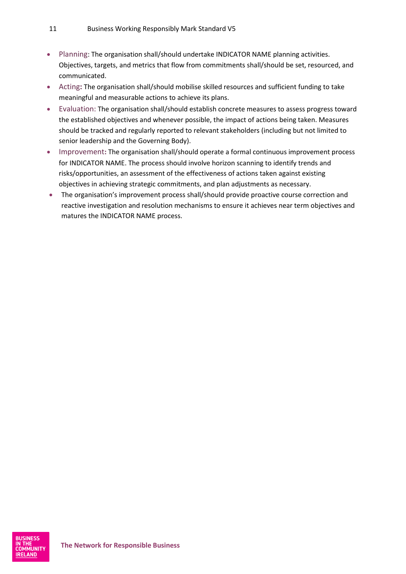- Planning: The organisation shall/should undertake INDICATOR NAME planning activities. Objectives, targets, and metrics that flow from commitments shall/should be set, resourced, and communicated.
- Acting**:** The organisation shall/should mobilise skilled resources and sufficient funding to take meaningful and measurable actions to achieve its plans.
- Evaluation: The organisation shall/should establish concrete measures to assess progress toward the established objectives and whenever possible, the impact of actions being taken. Measures should be tracked and regularly reported to relevant stakeholders (including but not limited to senior leadership and the Governing Body).
- Improvement**:** The organisation shall/should operate a formal continuous improvement process for INDICATOR NAME. The process should involve horizon scanning to identify trends and risks/opportunities, an assessment of the effectiveness of actions taken against existing objectives in achieving strategic commitments, and plan adjustments as necessary.
- The organisation's improvement process shall/should provide proactive course correction and reactive investigation and resolution mechanisms to ensure it achieves near term objectives and matures the INDICATOR NAME process.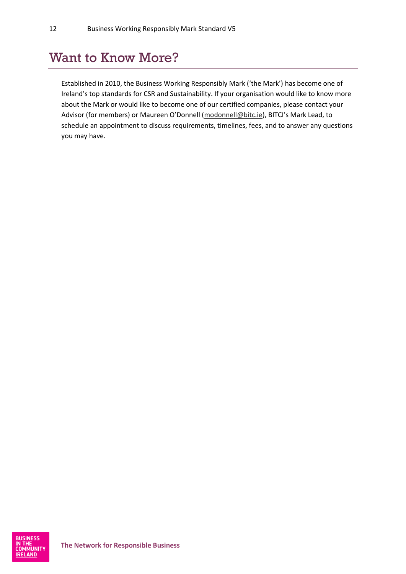### <span id="page-12-0"></span>Want to Know More?

Established in 2010, the Business Working Responsibly Mark ('the Mark') has become one of Ireland's top standards for CSR and Sustainability. If your organisation would like to know more about the Mark or would like to become one of our certified companies, please contact your Advisor (for members) or Maureen O'Donnell ([modonnell@bitc.ie\)](mailto:modonnell@bitc.ie), BITCI's Mark Lead, to schedule an appointment to discuss requirements, timelines, fees, and to answer any questions you may have.